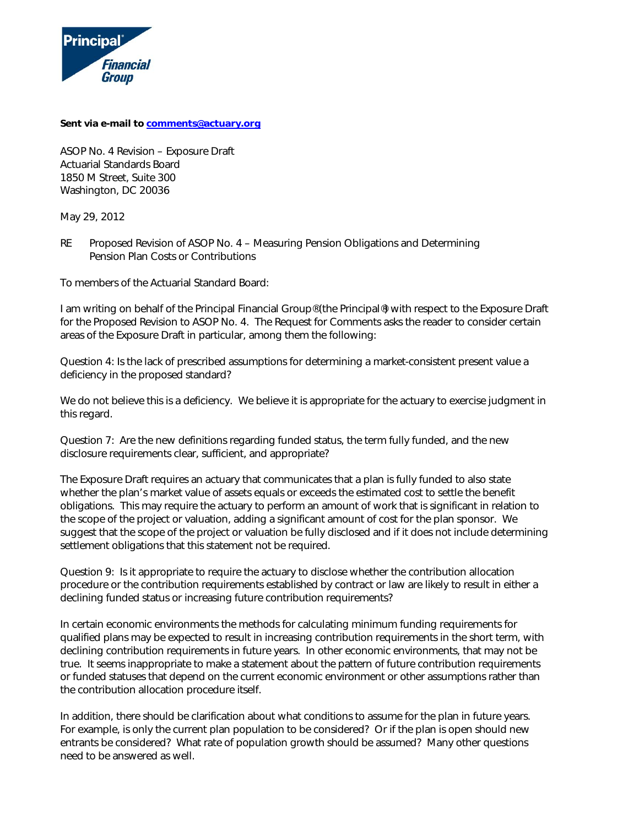

**Sent via e-mail to [comments@actuary.org](mailto:comments@actuary.org)**

ASOP No. 4 Revision – Exposure Draft Actuarial Standards Board 1850 M Street, Suite 300 Washington, DC 20036

May 29, 2012

RE Proposed Revision of ASOP No. 4 – Measuring Pension Obligations and Determining Pension Plan Costs or Contributions

To members of the Actuarial Standard Board:

I am writing on behalf of the Principal Financial Group® (the Principal®) with respect to the Exposure Draft for the Proposed Revision to ASOP No. 4. The Request for Comments asks the reader to consider certain areas of the Exposure Draft in particular, among them the following:

*Question 4: Is the lack of prescribed assumptions for determining a market-consistent present value a deficiency in the proposed standard?* 

We do not believe this is a deficiency. We believe it is appropriate for the actuary to exercise judgment in this regard.

*Question 7: Are the new definitions regarding funded status, the term fully funded, and the new disclosure requirements clear, sufficient, and appropriate?* 

The Exposure Draft requires an actuary that communicates that a plan is fully funded to also state whether the plan's market value of assets equals or exceeds the estimated cost to settle the benefit obligations. This may require the actuary to perform an amount of work that is significant in relation to the scope of the project or valuation, adding a significant amount of cost for the plan sponsor. We suggest that the scope of the project or valuation be fully disclosed and if it does not include determining settlement obligations that this statement not be required.

*Question 9: Is it appropriate to require the actuary to disclose whether the contribution allocation procedure or the contribution requirements established by contract or law are likely to result in either a declining funded status or increasing future contribution requirements?* 

In certain economic environments the methods for calculating minimum funding requirements for qualified plans may be expected to result in increasing contribution requirements in the short term, with declining contribution requirements in future years. In other economic environments, that may not be true. It seems inappropriate to make a statement about the pattern of future contribution requirements or funded statuses that depend on the current economic environment or other assumptions rather than the contribution allocation procedure itself.

In addition, there should be clarification about what conditions to assume for the plan in future years. For example, is only the current plan population to be considered? Or if the plan is open should new entrants be considered? What rate of population growth should be assumed? Many other questions need to be answered as well.